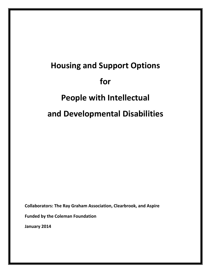# **Housing and Support Options for People with Intellectual and Developmental Disabilities**

**Collaborators: The Ray Graham Association, Clearbrook, and Aspire**

**Funded by the Coleman Foundation**

**January 2014**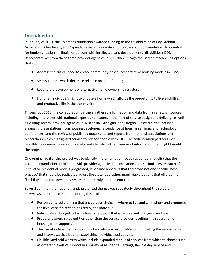# **Introduction**

In January of 2013, the Coleman Foundation awarded funding to the collaboration of Ray Graham Association, Clearbrook, and Aspire to research innovative housing and support models with potential for implementation in Illinois for persons with intellectual and developmental disabilities (IDD). Representatives from these three provider agencies in suburban Chicago focused on researching options that could:

- ◆ Address the critical need to create community-based, cost effective housing models in Illinois
- ◆ Seek solutions which decrease reliance on state funding
- Lead to the development of alternative home ownership structures
- Honor an individual's right to choose a home which affords the opportunity to live a fulfilling and productive life in the community

Throughout 2013, the collaboration partners gathered information and data from a variety of sources including interviews with national experts and leaders in the field of service design and delivery, as well as visiting several provider agencies in Wisconsin, Michigan, and Oregon. Research also included arranging presentations from housing developers, attendance at housing seminars and technology conferences, and the review of published documents and reports from national associations and researchers which highlighted service trends for people with IDD. The collaboration partners met monthly to examine its research results and identify further sources of information that might benefit the project.

One original goal of this project was to identify implementation-ready residential model(s) that the Coleman Foundation could share with provider agencies for replication across Illinois. As research of innovative residential models progressed, it became apparent that there was not one specific 'best practice' that should be replicated across the state, but rather, many viable options that offered the flexibility needed to develop services that are truly person‐centered.

Several common themes and trends presented themselves repeatedly throughout the research, interviews, and tours conducted during this project:

- ◆ Person-centered planning that encourages choice in where to live and with whom and promotes the level of self‐direction desired by the individual
- $\bullet$  Individualized budgets which allow for support that is flexible and changes over time
- Property ownership by entities other than the service provider resulting in a separation of housing from supports
- The use of independent Support Brokers who are responsible for completing the assessments and interviews that lead to establishing individualized budgets
- Flexible Medicaid waivers which include expanded menus of services from which to choose such as different levels of support in a variety of residential settings, flexible day service and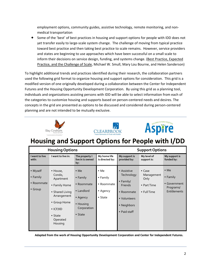employment options, community guides, assistive technology, remote monitoring, and non‐ medical transportation

 Some of the 'best' of best practices in housing and support options for people with IDD does not yet transfer easily to large‐scale system change. The challenge of moving from typical practice toward best practice and then taking best practice to scale remains. However, service providers and states are beginning to use approaches which have been successful on a small scale to inform their decisions on service design, funding, and systems change. (Best Practice, Expected Practice, and the Challenge of Scale, Michael W. Smull, Mary Lou Bourne, and Helen Sanderson)

To highlight additional trends and practices identified during their research, the collaboration partners used the following grid format to organize housing and support options for consideration. This grid is a modified version of one originally developed during a collaboration between the Center for Independent Futures and the Housing Opportunity Development Corporation. By using this grid as a planning tool, individuals and organizations assisting persons with IDD will be able to select information from each of the categories to customize housing and supports based on person‐centered needs and desires. The concepts in the grid are presented as options to be discussed and considered during person‐centered planning and are not intended to be mutually exclusive.







# Housing and Support Options for People with I/DD

|                                                       | <b>Housing Options</b>                                                                                                                                            |                                                                                                                                 | <b>Support Options</b>                                                                |                                                                                                                               |                                                                    |                                                                               |
|-------------------------------------------------------|-------------------------------------------------------------------------------------------------------------------------------------------------------------------|---------------------------------------------------------------------------------------------------------------------------------|---------------------------------------------------------------------------------------|-------------------------------------------------------------------------------------------------------------------------------|--------------------------------------------------------------------|-------------------------------------------------------------------------------|
| I want to live<br>with:                               | I want to live in:                                                                                                                                                | The property I<br>live in is owned<br>by:                                                                                       | My home life<br>is directed by:                                                       | My support is<br>provided by:                                                                                                 | My level of<br>support is:                                         | My support is<br>funded by:                                                   |
| • Myself<br>$\bullet$ Family<br>• Roommate<br>• Group | • House,<br>Condo,<br>Apartment<br>• Family Home<br>• Shared Living<br>Arrangement<br>• Group Home<br>$\bullet$ ICF/IID<br>$\bullet$ State<br>Operated<br>Housing | $\bullet$ Me<br>$\bullet$ Family<br>• Roommate<br>• Landlord<br>$\bullet$ Agency<br>• Housing<br>Corporation<br>$\bullet$ State | $\bullet$ Me<br>$\bullet$ Family<br>• Roommate<br>$\bullet$ Agency<br>$\bullet$ State | • Assistive<br>Technology<br>$\bullet$ Family/<br><b>Friends</b><br>• Roommate<br>• Volunteers<br>• Neighbors<br>• Paid staff | $\bullet$ Case<br>Management<br>Only<br>• Part Time<br>• Full Time | $\bullet$ Me<br>$\bullet$ Family<br>• Government<br>Programs/<br>Entitlements |

Adapted from the work of Housing Opportunity Development Corporation and Center for Independent Futures.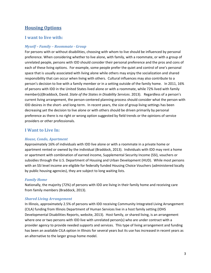## **Housing Options**

#### **I want to live with:**

#### *Myself – Family – Roommate Group*

For persons with or without disabilities, choosing with whom to live should be influenced by personal preference. When considering whether to live alone, with family, with a roommate, or with a group of unrelated people, persons with IDD should consider their personal preference and the pros and cons of each of these living options. For example, some people prefer the quiet and control of one's personal space that is usually associated with living alone while others may enjoy the socialization and shared responsibility that can occur when living with others. Cultural influences may also contribute to a person's decision to live with a family member or in a setting outside of the family home. In 2011, 16% of persons with IDD in the United States lived alone or with a roommate, while 72% lived with family member(s)(Braddock, David*. State of the States in Disability Services*. 2013). Regardless of a person's current living arrangement, the person‐centered planning process should consider what the person with IDD desires in the short- and long-term. In recent years, the size of group living settings has been decreasing yet the decision to live alone or with others should be driven primarily by personal preference as there is no right or wrong option suggested by field trends or the opinions of service providers or other professionals.

#### **I Want to Live In:**

#### *House, Condo, Apartment*

Approximately 16% of individuals with IDD live alone or with a roommate in a private home or apartment rented or owned by the individual (Braddock, 2013). Individuals with IDD may rent a home or apartment with combination of earned income, Supplemental Security Income (SSI), vouchers or subsidies through the U.S. Department of Housing and Urban Development (HUD). While most persons with an SSI level income are eligible for federally funded Housing Choice Vouchers (administered locally by public housing agencies), they are subject to long waiting lists.

#### *Family Home*

Nationally, the majority (72%) of persons with IDD are living in their family home and receiving care from family members (Braddock, 2013).

#### *Shared Living Arrangement*

In Illinois, approximately 2.5% of persons with IDD receiving Community Integrated Living Arrangement (CILA) funding from Illinois Department of Human Services live in a host family setting (IDHS Developmental Disabilities Reports, website, 2013). Host family, or shared living, is an arrangement where one or two persons with IDD live with unrelated person(s) who are under contract with a provider agency to provide needed supports and services. This type of living arrangement and funding has been an available CILA option in Illinois for several years but its use has increased in recent years as an alternative to the larger group home model.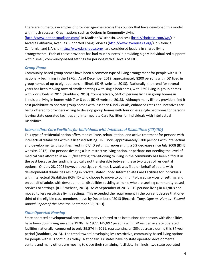There are numerous examples of provider agencies across the country that have developed this model with much success. Organizations such as Options in Community Living (http://www.optionsmadison.com/) in Madison Wisconsin, Choicess (http://choicess.com/wp/) in Arcadia California, Avenues Supported Living Services (http://www.avenuessls.org/) in Valencia California, and L'Arche (http://www.larcheusa.org/) are considered leaders in shared living arrangements. Each of these providers has had much success in providing highly individualized supports within small, community-based settings for persons with all levels of IDD.

#### *Group Home*

Community‐based group homes have been a common type of living arrangement for people with IDD nationally beginning in the 1970s. As of December 2012, approximately 8200 persons with IDD lived in group homes of up to eight persons in Illinois (IDHS website, 2013). Nationally, the trend for several years has been moving toward smaller settings with single bedrooms, with 23% living in group homes with 7 or 8 beds in 2011 (Braddock, 2013). Comparatively, 54% of persons living in group homes in Illinois are living in homes with 7 or 8 beds (IDHS website, 2013). Although many Illinois providers find it cost prohibitive to operate group homes with less than 6 individuals, enhanced rates and incentives are being offered to providers willing to develop group homes with four or less single bedrooms for persons leaving state operated facilities and Intermediate Care Facilities for Individuals with Intellectual Disabilities.

#### *Intermediate Care Facilities for Individuals with Intellectual Disabilities (ICF/IID)*

This type of residential option offers medical care, rehabilitation, and active treatment for persons with intellectual disabilities within a licensed setting. In Illinois, approximately 6300 persons with intellectual and developmental disabilities lived in ICF/IID settings, representing a 5% decrease since July 2008 (IDHS website, 2013). For persons desiring a less restrictive living option, or perhaps not needing the level of medical care afforded in an ICF/IID setting, transitioning to living in the community has been difficult in the past because the funding is typically not transferable between these two types of residential options. On July 28, 2005 however, the Ligas v. Hamos lawsuit was filed on behalf of adults with developmental disabilities residing in private, state‐funded Intermediate Care Facilities for Individuals with Intellectual Disabilities (ICF/IID) who choose to move to community-based services or settings and on behalf of adults with developmental disabilities residing at home who are seeking community‐based services or settings. (IDHS website, 2013). As of September of 2013, 519 persons living in ICF/IIDs had moved to less restrictive living settings. This exceeded the requirement in the consent decree that one‐ third of the eligible class members move by December of 2013 (Records, Tony. *Ligas vs. Hamos ‐ Second Annual Report of the Monitor*. September 30, 2013).

#### *State Operated Housing*

State operated developmental centers, formerly referred to as institutions for persons with disabilities, have been downsizing since the 1970s. In 1977, 149,892 persons with IDD resided in state operated facilities nationally, compared to only 29,574 in 2011, representing an 80% decrease during this 34 year period (Braddock, 2013). The trend toward developing less restrictive, community-based living options for people with IDD continues today. Nationally, 14 states have no state operated developmental centers and many others are moving to close their remaining facilities. In Illinois, two state operated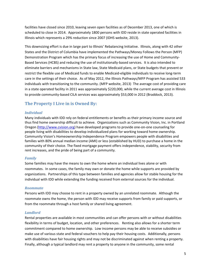facilities have closed since 2010, leaving seven open facilities as of December 2013, one of which is scheduled to close in 2014. Approximately 1800 persons with IDD reside in state operated facilities in Illinois which represents a 29% reduction since 2007 (IDHS website, 2013).

This downsizing effort is due in large part to Illinois' Rebalancing Initiative. Illinois, along with 42 other States and the District of Columbia have implemented the Pathways/Money Follows the Person (MFP) Demonstration Program which has the primary focus of increasing the use of Home and Community‐ Based Services (HCBS) and reducing the use of institutionally‐based services. It is also intended to eliminate barriers and mechanisms in State law, State Medicaid plans, or State budgets that prevent or restrict the flexible use of Medicaid funds to enable Medicaid‐eligible individuals to receive long‐term care in the settings of their choice. As of May 2012, the Illinois Pathways/MFP Program has assisted 533 individuals with transitioning to the community. (MFP website, 2013) The average cost of providing care in a state operated facility in 2011 was approximately \$220,000, while the current average cost in Illinois to provide community-based CILA services was approximately \$53,000 in 2012 (Braddock, 2013).

# **The Property I Live in is Owned By:**

#### *Individual*

Many individuals with IDD rely on federal entitlements or benefits as their primary income source and thus find home ownership difficult to achieve. Organizations such as Community Vision, Inc. in Portland Oregon (http://www.cvision.org) have developed programs to provide one‐on‐one counseling for people living with disabilities to develop individualized plans for working toward home ownership. Community Vision's Homeownership Independence Program empowers people with disabilities and families with 80% annual median income (AMI) or less (established by HUD) to purchase a home in the community of their choice. The fixed mortgage payment offers independence, stability, security from rent increases, and the pride of being part of a community.

#### *Family*

Some families may have the means to own the home where an individual lives alone or with roommates. In some cases, the family may own or donate the home while supports are provided by organizations. Partnerships of this type between families and agencies allow for stable housing for the individual with IDD while extending the funding received from external sources for the individual.

#### *Roommate*

Persons with IDD may choose to rent in a property owned by an unrelated roommate. Although the roommate owns the home, the person with IDD may receive supports from family or paid supports, or from the roommate through a host family or shared living agreement.

#### *Landlord*

Rental properties are available in most communities and can offer persons with or without disabilities flexibility in terms of budget, location, and other preferences. Renting also allows for a shorter term commitment compared to home ownership. Low income persons may be able to receive subsidies or make use of various state and federal vouchers to help pay their housing costs. Additionally, persons with disabilities have fair housing rights and may not be discriminated against when renting a property. Finally, although a typical landlord may rent a property to anyone in the community, some rental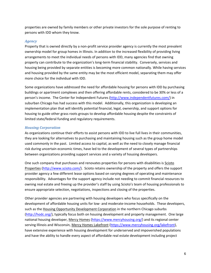properties are owned by family members or other private investors for the sole purpose of renting to persons with IDD whom they know.

#### *Agency*

Property that is owned directly by a non‐profit service provider agency is currently the most prevalent ownership model for group homes in Illinois. In addition to the increased flexibility of providing living arrangements to meet the individual needs of persons with IDD, many agencies find that owning property can contribute to the organization's long-term financial stability. Conversely, services and housing being provided by separate entities is becoming more common nationally. While having services and housing provided by the same entity may be the most efficient model, separating them may offer more choice for the individual with IDD.

Some organizations have addressed the need for affordable housing for persons with IDD by purchasing buildings or apartment complexes and then offering affordable rents, considered to be 30% or less of a person's income. The Center for Independent Futures (http://www.independentfutures.com/) in suburban Chicago has had success with this model. Additionally, this organization is developing an implementation plan that will identify potential financial, legal, ownership, and support options for housing to guide other grass roots groups to develop affordable housing despite the constraints of limited state/federal funding and regulatory requirements.

#### *Housing Corporation*

As organizations continue their efforts to assist persons with IDD to live full lives in their communities, they are looking for alternatives to purchasing and maintaining housing such as the group home model used commonly in the past. Limited access to capital, as well as the need to closely manage financial risk during uncertain economic times, have led to the development of several types of partnerships between organizations providing support services and a variety of housing developers.

One such company that purchases and renovates properties for persons with disabilities is Scioto Properties (http://www.scioto.com/). Scioto retains ownership of the property and offers the support provider agency a few different lease options based on varying degrees of operating and maintenance responsibility. Advantages for the support agency include not needing to commit financial resources to owning real estate and freeing up the provider's staff by using Scioto's team of housing professionals to ensure appropriate selection, negotiations, inspections and closing of the properties.

Other provider agencies are partnering with housing developers who focus specifically on the development of affordable housing units for low‐ and moderate‐income households. These developers, such as the Housing Opportunity Development Corporation in the northern Chicago suburbs (http://hodc.org/), typically focus both on housing development and property management. One large national housing developer, Mercy Homes (https://www.mercyhousing.org/) and its regional center serving Illinois and Wisconsin, Mercy Homes Lakefront (https://www.mercyhousing.org/lakefront), have extensive experience with housing development for underserved and impoverished populations and have the ability to handle every aspect of affordable real estate development including project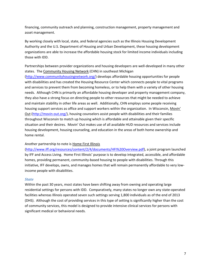financing, community outreach and planning, construction management, property management and asset management.

By working closely with local, state, and federal agencies such as the Illinois Housing Development Authority and the U.S. Department of Housing and Urban Development, these housing development organizations are able to increase the affordable housing stock for limited income individuals including those with IDD.

Partnerships between provider organizations and housing developers are well‐developed in many other states. The Community Housing Network (CHN) in southeast Michigan

(http://www.communityhousingnetwork.org/) develops affordable housing opportunities for people with disabilities and has created the Housing Resource Center which connects people to vital programs and services to prevent them from becoming homeless, or to help them with a variety of other housing needs. Although CHN is primarily an affordable housing developer and property management company, they also have a strong focus on directing people to other resources that might be needed to achieve and maintain stability in other life areas as well. Additionally, CHN employs some people receiving housing support services as office and support workers within the organization. In Wisconsin, Movin' Out (http://movin-out.org/), housing counselors assist people with disabilities and their families throughout Wisconsin to match up housing which is affordable and attainable given their specific situation and their desires. Movin' Out makes use of all available HUD resources and services include housing development, housing counseling, and education in the areas of both home ownership and home rental.

#### Another partnership to note is Home First Illinois

(http://www.iff.org/resources/content/2/4/documents/HFI%20Overview.pdf), a joint program launched by IFF and Access Living. Home First Illinois' purpose is to develop integrated, accessible, and affordable homes, providing permanent, community-based housing to people with disabilities. Through this initiative, IFF develops, owns, and manages homes that will remain permanently affordable to very lowincome people with disabilities.

#### *State*

Within the past 30 years, most states have been shifting away from owning and operating large residential settings for persons with IDD. Comparatively, many states no longer own any state‐operated facilities whereas Illinois operated seven such settings serving 1,800 individuals as of the end of 2013 (DHS). Although the cost of providing services in this type of setting is significantly higher than the cost of community services, this model is designed to provide intensive clinical services for persons with significant medical or behavioral needs.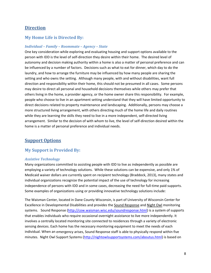## **Direction**

#### **My Home Life is Directed By:**

#### *Individual – Family – Roommate – Agency – State*

One key consideration while exploring and evaluating housing and support options available to the person with IDD is the level of self‐direction they desire within their home. The desired level of autonomy and decision making authority within a home is also a matter of personal preference and can be influenced by a number of factors. Decisions such as what to eat for dinner, which day to do the laundry, and how to arrange the furniture may be influenced by how many people are sharing the setting and who owns the setting. Although many people, with and without disabilities, want full direction and responsibility within their home, this should not be presumed in all cases. Some persons may desire to direct all personal and household decisions themselves while others may prefer that others living in the home, a provider agency, or the home owner share this responsibility. For example, people who choose to live in an apartment setting understand that they will have limited opportunity to direct decisions related to property maintenance and landscaping. Additionally, persons may choose a more structured living arrangement, with others directing much of the home life and daily routines while they are learning the skills they need to live in a more independent, self-directed living arrangement. Similar to the decision of with whom to live, the level of self‐direction desired within the home is a matter of personal preference and individual needs.

### **Support Options**

#### **My Support is Provided By:**

#### *Assistive Technology*

Many organizations committed to assisting people with IDD to live as independently as possible are employing a variety of technology solutions. While these solutions can be expensive, and only 1% of Medicaid waiver dollars are currently spent on recipient technology (Braddock, 2013), many states and individual organizations recognize the potential impact of the use of technology for increasing independence of persons with IDD and in some cases, decreasing the need for full-time paid supports. Some examples of organizations using or providing innovative technology solutions include:

The Waisman Center, located in Dane County Wisconsin, is part of University of Wisconsin Center for Excellence in Developmental Disabilities and provides the Sound Response and Night Owl monitoring systems. Sound Response (http://cow.waisman.wisc.edu/soundresponse.html) is a system of supports that enables individuals who require occasional overnight assistance to live more independently. It involves a centrally located monitoring site connected to residences through a variety of electronic sensing devices. Each home has the necessary monitoring equipment to meet the needs of each individual. When an emergency arises, Sound Response staff is able to physically respond within five minutes. Night Owl Support Systems (http://nightowlsupportsystems.com/aboutus.html) is based on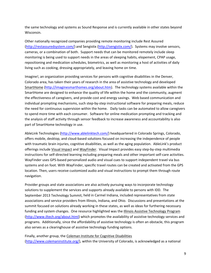the same technology and systems as Sound Response and is currently available in other states beyond Wisconsin.

Other nationally recognized companies providing remote monitoring include Rest Assured (http://restassuredsystem.com/) and Sengistix (http://sengistix.com/). Systems may involve sensors, cameras, or a combination of both. Support needs that can be monitored remotely include sleep monitoring is being used to support needs in the areas of sleeping habits, elopement, CPAP usage, repositioning and medication schedules, biometrics, as well as monitoring a host of activities of daily living such as cooking, dressing appropriately, and leaving home on time.

Imagine!, an organization providing services for persons with cognitive disabilities in the Denver, Colorado area, has taken their years of research in the area of assistive technology and developed SmartHome (http://imaginesmarthomes.org/about.htm). The technology systems available within the SmartHome are designed to enhance the quality of life within the home and the community, augment the effectiveness of caregivers, and provide cost and energy savings. Web based communication and individual prompting mechanisms, such step-by-step instructional software for preparing meals, reduce the need for continuous supervision within the home. Daily tasks can be automated to allow caregivers to spend more time with each consumer. Software for online medication prompting and tracking and the analysis of staff activity through sensor feedback to increase awareness and accountability is also part of SmartHome technology in use.

AbleLink Technologies (http://www.ablelinktech.com/) headquartered in Colorado Springs, Colorado, offers mobile, desktop, and cloud‐based solutions focused on increasing the independence of people with traumatic brain injuries, cognitive disabilities, as well as the aging population. AbleLink's product offerings include Visual Impact and WayFinder. Visual Impact provides easy step‐by‐step multimedia instructions for self‐directed learning including preparing meals and other important self‐care activities. WayFinder uses GPS‐based personalized audio and visual cues to support independent travel via bus systems and on foot. With WayFinder, specific travel routes can be created and activated from the GPS location. Then, users receive customized audio and visual instructions to prompt them through route navigation.

Provider groups and state associations are also actively pursuing ways to incorporate technology solutions to supplement the services and supports already available to persons with IDD. The September 2013 Technology Summit, held in Carmel Indiana, included representatives from state associations and service providers from Illinois, Indiana, and Ohio. Discussions and presentations at the summit focused on solutions already working in these states, as well as ideas for furthering necessary funding and system changes. One resource highlighted was the Illinois Assistive Technology Program (http://www.iltech.org/about.html) which promotes the availability of assistive technology services and programs. Additionally, since the affordability of assistive technology is often an obstacle, this program also serves as a clearinghouse of assistive technology funding options.

Finally, another group, the Coleman Institute for Cognitive Disabilities (http://www.colemaninstitute.org/), within the University of Colorado, is acknowledged as a national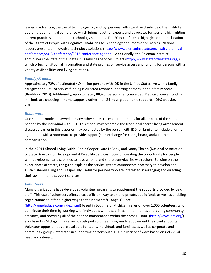leader in advancing the use of technology for, and by, persons with cognitive disabilities. The Institute coordinates an annual conference which brings together experts and advocates for sessions highlighting current practices and potential technology solutions. The 2013 conference highlighted the Declaration of the Rights of People with Cognitive Disabilities to Technology and Information Access. National leaders presented innovative technology solutions (http://www.colemaninstitute.org/institute-annualconferences/2013‐conference/2013‐conference‐agenda). Additionally, the Coleman Institute administers the State of the States in Disabilities Services Project (http://www.stateofthestates.org/) which offers longitudinal information and state profiles on service access and funding for persons with a variety of disabilities and living situations.

#### *Family/Friends*

Approximately 72% of estimated 4.9 million persons with IDD in the United States live with a family caregiver and 57% of service funding is directed toward supporting persons in their family home (Braddock, 2013). Additionally, approximately 88% of persons being awarded Medicaid waiver funding in Illinois are choosing in‐home supports rather than 24‐hour group home supports (IDHS website, 2013).

#### *Roommate*

One support model observed in many other states relies on roommates for all, or part, of the support needed by the individual with IDD. This model may resemble the traditional shared living arrangement discussed earlier in this paper or may be directed by the person with IDD (or family) to include a formal agreement with a roommate to provide support(s) in exchange for room, board, and/or other compensation.

In their 2011 Shared Living Guide, Robin Cooper, Kara LeBeau, and Nancy Thaler, (National Association of State Directors of Developmental Disability Services) focus on creating the opportunity for people with developmental disabilities to have a home and share everyday life with others. Building on the experiences of states, the guide explains the service system components necessary to develop and sustain shared living and is especially useful for persons who are interested in arranging and directing their own in‐home support services.

#### *Volunteers*

Many organizations have developed volunteer programs to supplement the supports provided by paid staff. This use of volunteers offers a cost‐efficient way to extend private/public funds as well as enabling organizations to offer a higher wage to their paid staff. Angels' Place

(http://angelsplace.com/index.html) based in Southfield, Michigan, relies on over 1,000 volunteers who contribute their time by working with individuals with disabilities in their homes and during community activities, and providing all of the needed maintenance within the homes. JARC (http://www.jarc.org/), also based in Michigan, has a well‐developed volunteer program to supplement their paid supports. Volunteer opportunities are available for teens, individuals and families, as well as corporate and community groups interested in supporting persons with IDD in a variety of ways based on individual need and interest.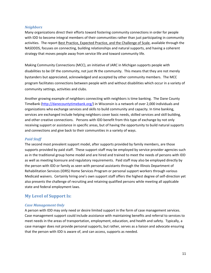#### *Neighbors*

Many organizations direct their efforts toward fostering community connections in order for people with IDD to become integral members of their communities rather than just participating in community activities. The report Best Practice, Expected Practice, and the Challenge of Scale, available through the NASDDDS, focuses on connecting, building relationships and natural supports, and having a coherent strategy that moves people away from service life and toward community life.

Making Community Connections (MCC), an initiative of JARC in Michigan supports people with disabilities to be OF the community, not just IN the community. This means that they are not merely bystanders but appreciated, acknowledged and accepted by other community members. The MCC program facilitates connections between people with and without disabilities which occur in a variety of community settings, activities and clubs.

Another growing example of neighbors connecting with neighbors is time banking. The Dane County TimeBank (http://danecountytimebank.org/) in Wisconsin is a network of over 2,000 individuals and organizations who exchange services and skills to build community and capacity. In time banking, services are exchanged include helping neighbors cover basic needs, skilled services and skill building, and other creative connections. Persons with IDD benefit from this type of exchange by not only receiving support or assistance in specific areas, but of having the opportunity to build natural supports and connections and give back to their communities in a variety of ways.

#### *Paid Staff*

The second most prevalent support model, after supports provided by family members, are those supports provided by paid staff. These support staff may be employed by service provider agencies such as in the traditional group home model and are hired and trained to meet the needs of persons with IDD as well as meeting licensure and regulatory requirements. Paid staff may also be employed directly by the person with IDD or family as seen with personal assistants through the Illinois Department of Rehabilitation Services (IDRS) Home Services Program or personal support workers through various Medicaid waivers. Certainly hiring one's own support staff offers the highest degree of self‐direction yet also presents the challenge of recruiting and retaining qualified persons while meeting all applicable state and federal employment laws.

#### **My Level of Support Is:**

#### *Case Management Only*

A person with IDD may only need or desire limited support in the form of case management services. Case management support could include assistance with maintaining benefits and referral to services to meet needs in the areas of transportation, employment, education, and health and safety. Typically, a case manager does not provide personal supports, but rather, serves as a liaison and advocate ensuring that the person with IDD is aware of, and can access, supports as needed.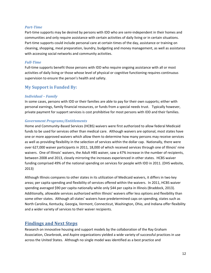#### *PartTime*

Part-time supports may be desired by persons with IDD who are semi-independent in their homes and communities and only require assistance with certain activities of daily living or in certain situations. Part-time supports could include personal care at certain times of the day, assistance or training on cleaning, shopping, meal preparation, laundry, budgeting and money management, as well as assistance with accessing social networks and community activities.

#### *FullTime*

Full-time supports benefit those persons with IDD who require ongoing assistance with all or most activities of daily living or those whose level of physical or cognitive functioning requires continuous supervision to ensure the person's health and safety.

#### **My Support is Funded By:**

#### *Individual – Family*

In some cases, persons with IDD or their families are able to pay for their own supports; either with personal earnings, family financial resources, or funds from a special needs trust. Typically however, private payment for support services is cost prohibitive for most persons with IDD and their families.

#### *Government Programs/Entitlements*

Home and Community‐Based Services (HCBS) waivers were first authorized to allow federal Medicaid funds to be used for services other than medical care. Although waivers are optional, most states have one or more approved waivers which allow them to determine how many persons may receive services as well as providing flexibility in the selection of services within the dollar cap. Nationally, there were over 627,000 waiver participants in 2011, 18,000 of which received services through one of Illinois' nine waivers. One of Illinois' waivers, the Adult HBS waiver, saw a 47% increase in the number of recipients, between 2008 and 2013, closely mirroring the increases experienced in other states. HCBS waiver funding comprised 49% of the national spending on services for people with IDD in 2011. (DHS website, 2013)

Although Illinois compares to other states in its utilization of Medicaid waivers, it differs in two key areas; per capita spending and flexibility of services offered within the waivers. In 2011, HCBS waiver spending averaged \$90 per capita nationally while only \$44 per capita in Illinois (Braddock, 2013). Additionally, allowable services authorized within Illinois' waivers offer less options and flexibility than some other states. Although all states' waivers have predetermined caps on spending, states such as North Carolina, Kentucky, Georgia, Vermont, Connecticut, Washington, Ohio, and Indiana offer flexibility and a wider variety of services to their waiver recipients.

#### **Findings and Next Steps**

Research on innovative housing and support models by the collaboration of the Ray Graham Association, Clearbrook, and Aspire organizations yielded a wide variety of successful practices in use across the United States. Although no single model was identified as a best practice and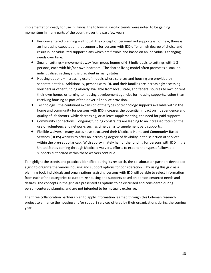implementation-ready for use in Illinois, the following specific trends were noted to be gaining momentum in many parts of the country over the past few years:

- ◆ Person-centered planning although the concept of personalized supports is not new, there is an increasing expectation that supports for persons with IDD offer a high degree of choice and result in individualized support plans which are flexible and based on an individual's changing needs over time.
- Smaller settings movement away from group homes of 6‐8 individuals to settings with 1‐3 persons, each with his/her own bedroom. The shared living model often promotes a smaller, individualized setting and is prevalent in many states.
- Housing options increasing use of models where services and housing are provided by separate entities. Additionally, persons with IDD and their families are increasingly accessing vouchers or other funding already available from local, state, and federal sources to own or rent their own homes or turning to housing development agencies for housing supports, rather than receiving housing as part of their over‐all service provision.
- $\bullet$  Technology the continued expansion of the types of technology supports available within the home and community for persons with IDD increases the potential impact on independence and quality of life factors while decreasing, or at least supplementing, the need for paid supports.
- Community connections ongoing funding constraints are leading to an increased focus on the use of volunteers and networks such as time banks to supplement paid supports.
- Flexible waivers many states have structured their Medicaid Home and Community‐Based Services (HCBS) waivers to offer an increasing degree of flexibility in the selection of services within the pre-set dollar cap. With approximately half of the funding for persons with IDD in the United States coming through Medicaid waivers, efforts to expand the types of allowable supports authorized within these waivers continue.

To highlight the trends and practices identified during its research, the collaboration partners developed a grid to organize the various housing and support options for consideration. By using this grid as a planning tool, individuals and organizations assisting persons with IDD will be able to select information from each of the categories to customize housing and supports based on person‐centered needs and desires. The concepts in the grid are presented as options to be discussed and considered during person‐centered planning and are not intended to be mutually exclusive.

The three collaboration partners plan to apply information learned through this Coleman research project to enhance the housing and/or support services offered by their organizations during the coming year.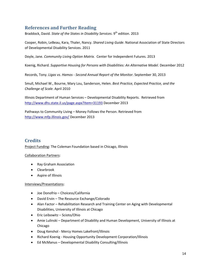# **References and Further Reading**

Braddock, David. *State of the States in Disability Services*. 9th edition. 2013

Cooper, Robin, LeBeau, Kara, Thaler, Nancy. *Shared Living Guide*. National Association of State Directors of Developmental Disability Services. 2011

Doyle, Jane. *Community Living Option Matrix.* Center for Independent Futures. 2013

Koenig, Richard. *Supportive Housing for Persons with Disabilities: An Alternative Model*. December 2012

Records, Tony. *Ligas vs. Hamos ‐ Second Annual Report of the Monitor*. September 30, 2013

Smull, Michael W., Bourne, Mary Lou, Sanderson, Helen. *Best Practice, Expected Practice, and the Challenge of Scale*. April 2010

Illinois Department of Human Services – Developmental Disability Reports. Retrieved from http://www.dhs.state.il.us/page.aspx?item=31193 December 2013

Pathways to Community Living – Money Follows the Person. Retrieved from http://www.mfp.illinois.gov/ December 2013

# **Credits**

Project Funding: The Coleman Foundation based in Chicago, Illinois

#### Collaboration Partners:

- Ray Graham Association
- Clearbrook
- Aspire of Illinois

#### Interviews/Presentations:

- Joe Donofrio Choicess/California
- David Ervin The Resource Exchange/Colorado
- Alan Factor Rehabilitation Research and Training Center on Aging with Developmental Disabilities, University of Illinois at Chicago
- Eric Leibowitz Scioto/Ohio
- Amie Lulinski Department of Disability and Human Development, University of Illinois at Chicago
- Doug Kenshol ‐ Mercy Homes Lakefront/Illinois
- Richard Koenig ‐ Housing Opportunity Development Corporation/Illinois
- Ed McManus Developmental Disability Consulting/Illinois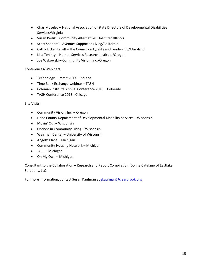- Chas Moseley National Association of State Directors of Developmental Disabilities Services/Virginia
- Susan Perlik Community Alternatives Unlimited/Illinois
- Scott Shepard Avenues Supported Living/California
- Cathy Ficker Terrill The Council on Quality and Leadership/Maryland
- Lilia Teninty Human Services Research Institute/Oregon
- Joe Wykowski Community Vision, Inc./Oregon

#### Conferences/Webinars:

- Technology Summit 2013 Indiana
- Time Bank Exchange webinar TASH
- Coleman Institute Annual Conference 2013 Colorado
- TASH Conference 2013 ‐ Chicago

#### Site Visits:

- Community Vision, Inc. Oregon
- Dane County Department of Developmental Disability Services Wisconsin
- Movin' Out Wisconsin
- Options in Community Living Wisconsin
- Waisman Center University of Wisconsin
- Angels' Place Michigan
- Community Housing Network Michigan
- JARC Michigan
- On My Own Michigan

Consultant to the Collaboration – Research and Report Compilation: Donna Catalano of Eastlake Solutions, LLC

For more information, contact Susan Kaufman at skaufman@clearbrook.org